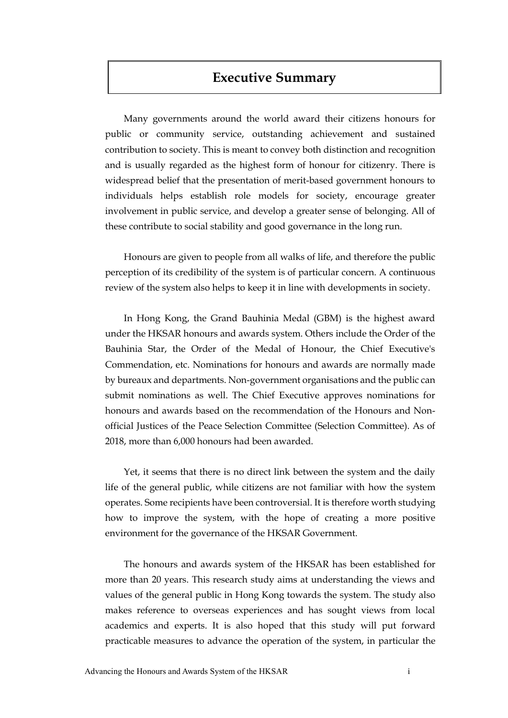## **Executive Summary**

Many governments around the world award their citizens honours for public or community service, outstanding achievement and sustained contribution to society. This is meant to convey both distinction and recognition and is usually regarded as the highest form of honour for citizenry. There is widespread belief that the presentation of merit-based government honours to individuals helps establish role models for society, encourage greater involvement in public service, and develop a greater sense of belonging. All of these contribute to social stability and good governance in the long run.

Honours are given to people from all walks of life, and therefore the public perception of its credibility of the system is of particular concern. A continuous review of the system also helps to keep it in line with developments in society.

In Hong Kong, the Grand Bauhinia Medal (GBM) is the highest award under the HKSAR honours and awards system. Others include the Order of the Bauhinia Star, the Order of the Medal of Honour, the Chief Executive's Commendation, etc. Nominations for honours and awards are normally made by bureaux and departments. Non-government organisations and the public can submit nominations as well. The Chief Executive approves nominations for honours and awards based on the recommendation of the [Honours and Non](https://www.protocol.gov.hk/eng/honours/hon_comm.html)[official Justices of the Peace Selection Committee](https://www.protocol.gov.hk/eng/honours/hon_comm.html) (Selection Committee). As of 2018, more than 6,000 honours had been awarded.

Yet, it seems that there is no direct link between the system and the daily life of the general public, while citizens are not familiar with how the system operates. Some recipients have been controversial. It is therefore worth studying how to improve the system, with the hope of creating a more positive environment for the governance of the HKSAR Government.

The honours and awards system of the HKSAR has been established for more than 20 years. This research study aims at understanding the views and values of the general public in Hong Kong towards the system. The study also makes reference to overseas experiences and has sought views from local academics and experts. It is also hoped that this study will put forward practicable measures to advance the operation of the system, in particular the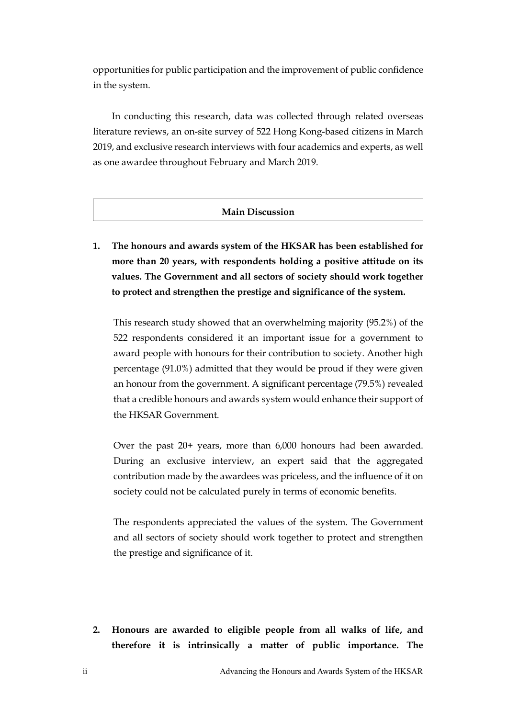opportunities for public participation and the improvement of public confidence in the system.

In conducting this research, data was collected through related overseas literature reviews, an on-site survey of 522 Hong Kong-based citizens in March 2019, and exclusive research interviews with four academics and experts, as well as one awardee throughout February and March 2019.

## **Main Discussion**

**1. The honours and awards system of the HKSAR has been established for more than 20 years, with respondents holding a positive attitude on its values. The Government and all sectors of society should work together to protect and strengthen the prestige and significance of the system.**

This research study showed that an overwhelming majority (95.2%) of the 522 respondents considered it an important issue for a government to award people with honours for their contribution to society. Another high percentage (91.0%) admitted that they would be proud if they were given an honour from the government. A significant percentage (79.5%) revealed that a credible honours and awards system would enhance their support of the HKSAR Government.

Over the past 20+ years, more than 6,000 honours had been awarded. During an exclusive interview, an expert said that the aggregated contribution made by the awardees was priceless, and the influence of it on society could not be calculated purely in terms of economic benefits.

The respondents appreciated the values of the system. The Government and all sectors of society should work together to protect and strengthen the prestige and significance of it.

**2. Honours are awarded to eligible people from all walks of life, and therefore it is intrinsically a matter of public importance. The**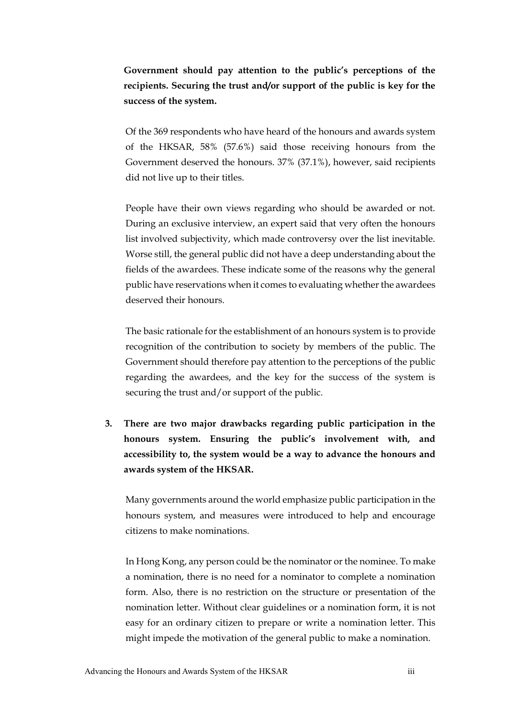**Government should pay attention to the public's perceptions of the recipients. Securing the trust and/or support of the public is key for the success of the system.**

Of the 369 respondents who have heard of the honours and awards system of the HKSAR, 58% (57.6%) said those receiving honours from the Government deserved the honours. 37% (37.1%), however, said recipients did not live up to their titles.

People have their own views regarding who should be awarded or not. During an exclusive interview, an expert said that very often the honours list involved subjectivity, which made controversy over the list inevitable. Worse still, the general public did not have a deep understanding about the fields of the awardees. These indicate some of the reasons why the general public have reservations when it comes to evaluating whether the awardees deserved their honours.

The basic rationale for the establishment of an honours system is to provide recognition of the contribution to society by members of the public. The Government should therefore pay attention to the perceptions of the public regarding the awardees, and the key for the success of the system is securing the trust and/or support of the public.

**3. There are two major drawbacks regarding public participation in the honours system. Ensuring the public's involvement with, and accessibility to, the system would be a way to advance the honours and awards system of the HKSAR.**

Many governments around the world emphasize public participation in the honours system, and measures were introduced to help and encourage citizens to make nominations.

In Hong Kong, any person could be the nominator or the nominee. To make a nomination, there is no need for a nominator to complete a nomination form. Also, there is no restriction on the structure or presentation of the nomination letter. Without clear guidelines or a nomination form, it is not easy for an ordinary citizen to prepare or write a nomination letter. This might impede the motivation of the general public to make a nomination.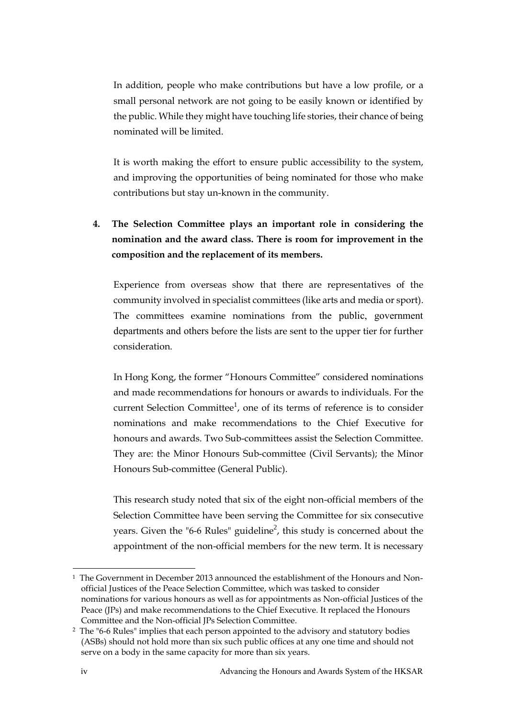In addition, people who make contributions but have a low profile, or a small personal network are not going to be easily known or identified by the public. While they might have touching life stories, their chance of being nominated will be limited.

It is worth making the effort to ensure public accessibility to the system, and improving the opportunities of being nominated for those who make contributions but stay un-known in the community.

**4. The Selection Committee plays an important role in considering the nomination and the award class. There is room for improvement in the composition and the replacement of its members.** 

Experience from overseas show that there are representatives of the community involved in specialist committees (like arts and media or sport). The committees examine nominations from the public, government departments and others before the lists are sent to the upper tier for further consideration.

In Hong Kong, the former "Honours Committee" considered nominations and made recommendations for honours or awards to individuals. For the current Selection Committee<sup>1</sup>, one of its terms of reference is to consider nominations and make recommendations to the Chief Executive for honours and awards. Two Sub-committees assist the Selection Committee. They are: the Minor Honours Sub-committee (Civil Servants); the Minor Honours Sub-committee (General Public).

This research study noted that six of the eight non-official members of the Selection Committee have been serving the Committee for six consecutive years. Given the "6-6 Rules" guideline<sup>2</sup>, this study is concerned about the appointment of the non-official members for the new term. It is necessary

<u>.</u>

<sup>1</sup> The Government in December 2013 announced the establishment of the Honours and Nonofficial Justices of the Peace Selection Committee, which was tasked to consider nominations for various honours as well as for appointments as Non-official Justices of the Peace (JPs) and make recommendations to the Chief Executive. It replaced the Honours Committee and the Non-official JPs Selection Committee.

<sup>2</sup> The "6-6 Rules" implies that each person appointed to the advisory and statutory bodies (ASBs) should not hold more than six such public offices at any one time and should not serve on a body in the same capacity for more than six years.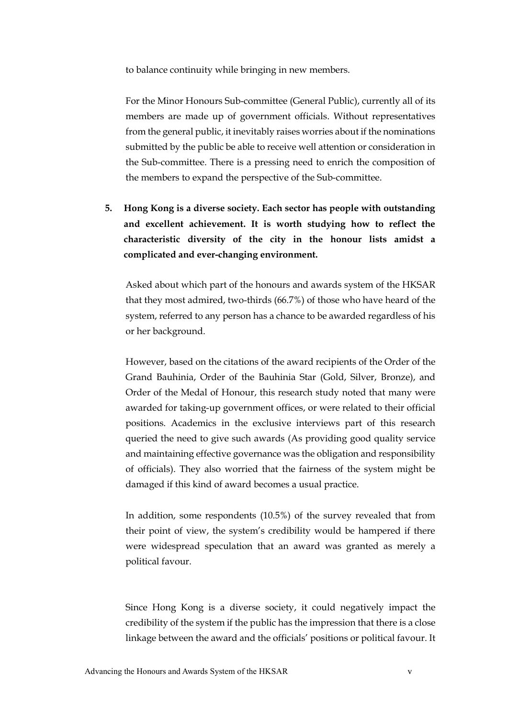to balance continuity while bringing in new members.

For the Minor Honours Sub-committee (General Public), currently all of its members are made up of government officials. Without representatives from the general public, it inevitably raises worries about if the nominations submitted by the public be able to receive well attention or consideration in the Sub-committee. There is a pressing need to enrich the composition of the members to expand the perspective of the Sub-committee.

**5. Hong Kong is a diverse society. Each sector has people with outstanding and excellent achievement. It is worth studying how to reflect the characteristic diversity of the city in the honour lists amidst a complicated and ever-changing environment.** 

Asked about which part of the honours and awards system of the HKSAR that they most admired, two-thirds (66.7%) of those who have heard of the system, referred to any person has a chance to be awarded regardless of his or her background.

However, based on the citations of the award recipients of the Order of the Grand Bauhinia, Order of the Bauhinia Star (Gold, Silver, Bronze), and Order of the Medal of Honour, this research study noted that many were awarded for taking-up government offices, or were related to their official positions. Academics in the exclusive interviews part of this research queried the need to give such awards (As providing good quality service and maintaining effective governance was the obligation and responsibility of officials). They also worried that the fairness of the system might be damaged if this kind of award becomes a usual practice.

In addition, some respondents (10.5%) of the survey revealed that from their point of view, the system's credibility would be hampered if there were widespread speculation that an award was granted as merely a political favour.

Since Hong Kong is a diverse society, it could negatively impact the credibility of the system if the public has the impression that there is a close linkage between the award and the officials' positions or political favour. It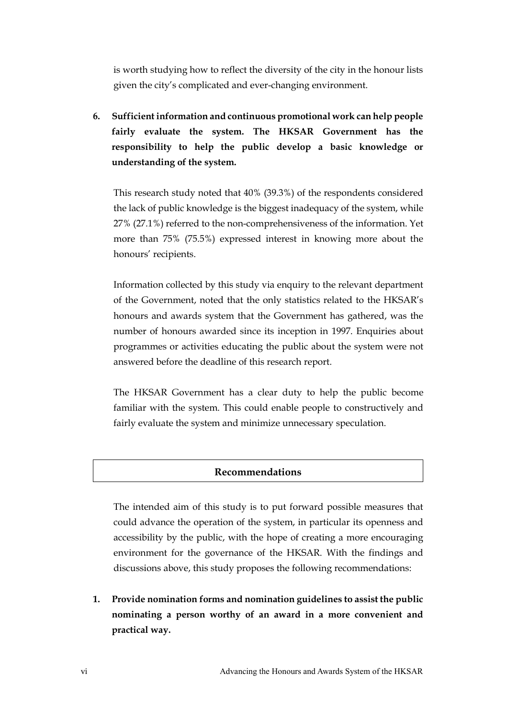is worth studying how to reflect the diversity of the city in the honour lists given the city's complicated and ever-changing environment.

**6. Sufficient information and continuous promotional work can help people fairly evaluate the system. The HKSAR Government has the responsibility to help the public develop a basic knowledge or understanding of the system.**

This research study noted that 40% (39.3%) of the respondents considered the lack of public knowledge is the biggest inadequacy of the system, while 27% (27.1%) referred to the non-comprehensiveness of the information. Yet more than 75% (75.5%) expressed interest in knowing more about the honours' recipients.

Information collected by this study via enquiry to the relevant department of the Government, noted that the only statistics related to the HKSAR's honours and awards system that the Government has gathered, was the number of honours awarded since its inception in 1997. Enquiries about programmes or activities educating the public about the system were not answered before the deadline of this research report.

The HKSAR Government has a clear duty to help the public become familiar with the system. This could enable people to constructively and fairly evaluate the system and minimize unnecessary speculation.

## **Recommendations**

The intended aim of this study is to put forward possible measures that could advance the operation of the system, in particular its openness and accessibility by the public, with the hope of creating a more encouraging environment for the governance of the HKSAR. With the findings and discussions above, this study proposes the following recommendations:

**1. Provide nomination forms and nomination guidelines to assist the public nominating a person worthy of an award in a more convenient and practical way.**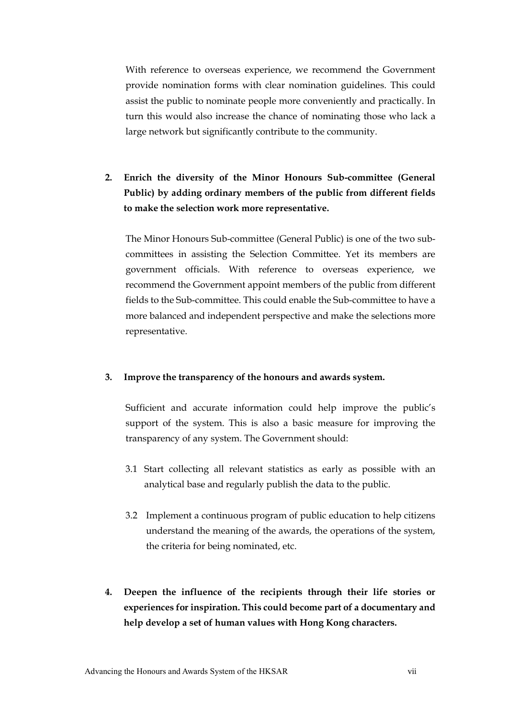With reference to overseas experience, we recommend the Government provide nomination forms with clear nomination guidelines. This could assist the public to nominate people more conveniently and practically. In turn this would also increase the chance of nominating those who lack a large network but significantly contribute to the community.

**2. Enrich the diversity of the Minor Honours Sub-committee (General Public) by adding ordinary members of the public from different fields to make the selection work more representative.** 

The Minor Honours Sub-committee (General Public) is one of the two subcommittees in assisting the Selection Committee. Yet its members are government officials. With reference to overseas experience, we recommend the Government appoint members of the public from different fields to the Sub-committee. This could enable the Sub-committee to have a more balanced and independent perspective and make the selections more representative.

## **3. Improve the transparency of the honours and awards system.**

Sufficient and accurate information could help improve the public's support of the system. This is also a basic measure for improving the transparency of any system. The Government should:

- 3.1 Start collecting all relevant statistics as early as possible with an analytical base and regularly publish the data to the public.
- 3.2 Implement a continuous program of public education to help citizens understand the meaning of the awards, the operations of the system, the criteria for being nominated, etc.
- **4. Deepen the influence of the recipients through their life stories or experiences for inspiration. This could become part of a documentary and help develop a set of human values with Hong Kong characters.**